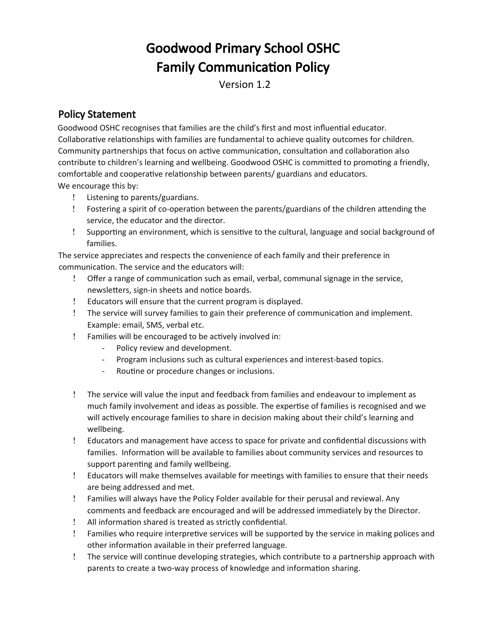# Goodwood Primary School OSHC **Family Communication Policy**

Version 1.2

## Policy Statement

Goodwood OSHC recognises that families are the child's frst and most infuental educator. Collaborative relationships with families are fundamental to achieve quality outcomes for children. Community partnerships that focus on active communication, consultation and collaboration also contribute to children's learning and wellbeing. Goodwood OSHC is committed to promoting a friendly, comfortable and cooperatve relatonship between parents/ guardians and educators. We encourage this by:

- Listening to parents/guardians.
- Fostering a spirit of co-operaton between the parents/guardians of the children atending the service, the educator and the director.
- Supportng an environment, which is sensitve to the cultural, language and social background of families.

The service appreciates and respects the convenience of each family and their preference in communication. The service and the educators will:

- ! Offer a range of communication such as email, verbal, communal signage in the service, newsletters, sign-in sheets and notice boards.
- Educators will ensure that the current program is displayed.
- ! The service will survey families to gain their preference of communication and implement. Example: email, SMS, verbal etc.
- Families will be encouraged to be actvely involved in:
	- Policy review and development.
	- Program inclusions such as cultural experiences and interest-based topics.
	- Routine or procedure changes or inclusions.
- The service will value the input and feedback from families and endeavour to implement as much family involvement and ideas as possible. The expertse of families is recognised and we will actively encourage families to share in decision making about their child's learning and wellbeing.
- Educators and management have access to space for private and confdental discussions with families. Informaton will be available to families about community services and resources to support parenting and family wellbeing.
- Educators will make themselves available for meetngs with families to ensure that their needs are being addressed and met.
- Families will always have the Policy Folder available for their perusal and reviewal. Any comments and feedback are encouraged and will be addressed immediately by the Director.
- ! All information shared is treated as strictly confidential.
- Families who require interpretve services will be supported by the service in making polices and other informaton available in their preferred language.
- The service will contnue developing strategies, which contribute to a partnership approach with parents to create a two-way process of knowledge and information sharing.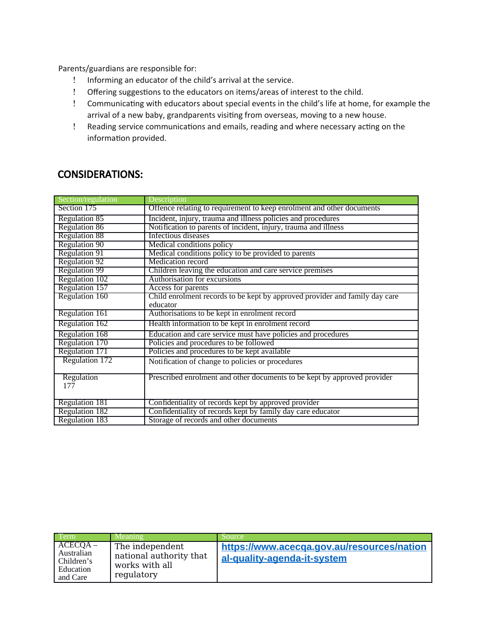Parents/guardians are responsible for:

- Informing an educator of the child's arrival at the service.
- ! Offering suggestions to the educators on items/areas of interest to the child.
- ! Communicating with educators about special events in the child's life at home, for example the arrival of a new baby, grandparents visitng from overseas, moving to a new house.
- ! Reading service communications and emails, reading and where necessary acting on the information provided.

### CONSIDERATIONS:

| Section/regulation   | Description                                                                 |  |
|----------------------|-----------------------------------------------------------------------------|--|
| Section 175          | Offence relating to requirement to keep enrolment and other documents       |  |
| Regulation 85        | Incident, injury, trauma and illness policies and procedures                |  |
| <b>Regulation 86</b> | Notification to parents of incident, injury, trauma and illness             |  |
| <b>Regulation 88</b> | Infectious diseases                                                         |  |
| Regulation 90        | Medical conditions policy                                                   |  |
| <b>Regulation 91</b> | Medical conditions policy to be provided to parents                         |  |
| Regulation 92        | Medication record                                                           |  |
| <b>Regulation 99</b> | Children leaving the education and care service premises                    |  |
| Regulation 102       | Authorisation for excursions                                                |  |
| Regulation 157       | Access for parents                                                          |  |
| Regulation 160       | Child enrolment records to be kept by approved provider and family day care |  |
|                      | educator                                                                    |  |
| Regulation 161       | Authorisations to be kept in enrolment record                               |  |
| Regulation 162       | Health information to be kept in enrolment record                           |  |
| Regulation 168       | Education and care service must have policies and procedures                |  |
| Regulation 170       | Policies and procedures to be followed                                      |  |
| Regulation 171       | Policies and procedures to be kept available                                |  |
| Regulation 172       | Notification of change to policies or procedures                            |  |
| Regulation<br>177    | Prescribed enrolment and other documents to be kept by approved provider    |  |
|                      |                                                                             |  |
| Regulation 181       | Confidentiality of records kept by approved provider                        |  |
| Regulation 182       | Confidentiality of records kept by family day care educator                 |  |
| Regulation 183       | Storage of records and other documents                                      |  |

| Term                                                            | Meaning                                                                    | Source                                                                    |
|-----------------------------------------------------------------|----------------------------------------------------------------------------|---------------------------------------------------------------------------|
| $ACECQA -$<br>Australian<br>Children's<br>Education<br>and Care | The independent<br>national authority that<br>works with all<br>regulatory | https://www.acecga.gov.au/resources/nation<br>al-quality-agenda-it-system |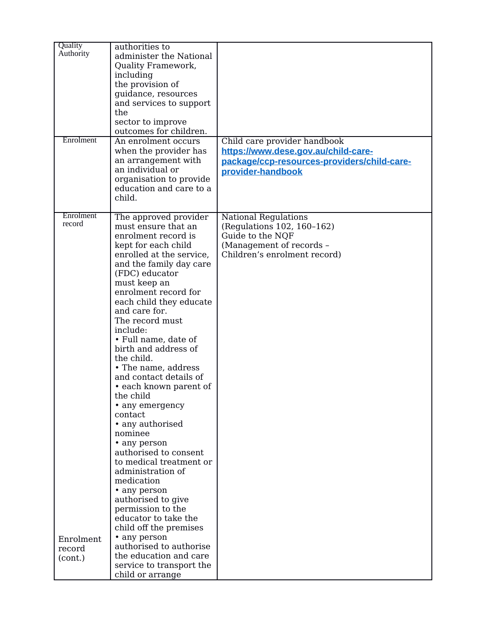| Quality<br>Authority<br>Enrolment                     | authorities to<br>administer the National<br>Quality Framework,<br>including<br>the provision of<br>guidance, resources<br>and services to support<br>the<br>sector to improve<br>outcomes for children.<br>An enrolment occurs<br>when the provider has<br>an arrangement with<br>an individual or<br>organisation to provide<br>education and care to a<br>child.                                                                                                                                                                                                                                                                                                                                                                                                                                                                                | Child care provider handbook<br>https://www.dese.gov.au/child-care-<br>package/ccp-resources-providers/child-care-<br>provider-handbook   |
|-------------------------------------------------------|----------------------------------------------------------------------------------------------------------------------------------------------------------------------------------------------------------------------------------------------------------------------------------------------------------------------------------------------------------------------------------------------------------------------------------------------------------------------------------------------------------------------------------------------------------------------------------------------------------------------------------------------------------------------------------------------------------------------------------------------------------------------------------------------------------------------------------------------------|-------------------------------------------------------------------------------------------------------------------------------------------|
| Enrolment<br>record<br>Enrolment<br>record<br>(cont.) | The approved provider<br>must ensure that an<br>enrolment record is<br>kept for each child<br>enrolled at the service,<br>and the family day care<br>(FDC) educator<br>must keep an<br>enrolment record for<br>each child they educate<br>and care for.<br>The record must<br>include:<br>• Full name, date of<br>birth and address of<br>the child.<br>• The name, address<br>and contact details of<br>• each known parent of<br>the child<br>• any emergency<br>contact<br>• any authorised<br>nominee<br>• any person<br>authorised to consent<br>to medical treatment or<br>administration of<br>medication<br>• any person<br>authorised to give<br>permission to the<br>educator to take the<br>child off the premises<br>• any person<br>authorised to authorise<br>the education and care<br>service to transport the<br>child or arrange | <b>National Regulations</b><br>(Regulations 102, 160-162)<br>Guide to the NQF<br>(Management of records -<br>Children's enrolment record) |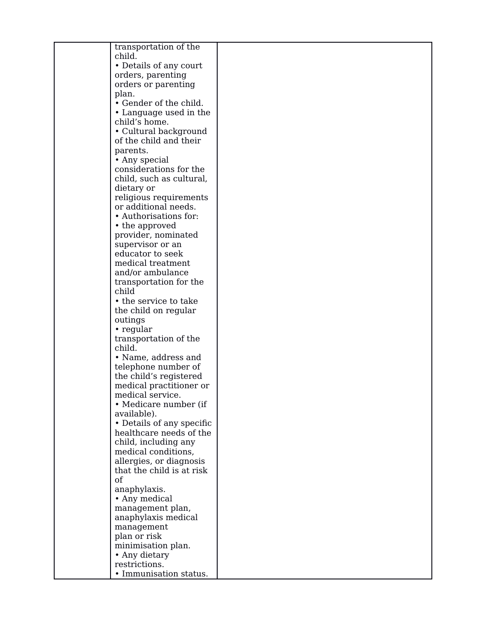| transportation of the     |  |
|---------------------------|--|
| child.                    |  |
| • Details of any court    |  |
|                           |  |
| orders, parenting         |  |
| orders or parenting       |  |
| plan.                     |  |
| • Gender of the child.    |  |
| • Language used in the    |  |
| child's home.             |  |
| • Cultural background     |  |
|                           |  |
| of the child and their    |  |
| parents.                  |  |
| • Any special             |  |
| considerations for the    |  |
| child, such as cultural,  |  |
| dietary or                |  |
| religious requirements    |  |
| or additional needs.      |  |
|                           |  |
| • Authorisations for:     |  |
| • the approved            |  |
| provider, nominated       |  |
| supervisor or an          |  |
| educator to seek          |  |
| medical treatment         |  |
| and/or ambulance          |  |
| transportation for the    |  |
|                           |  |
| child                     |  |
| • the service to take     |  |
| the child on regular      |  |
| outings                   |  |
| $\cdot$ regular           |  |
| transportation of the     |  |
| child.                    |  |
| • Name, address and       |  |
| telephone number of       |  |
|                           |  |
| the child's registered    |  |
| medical practitioner or   |  |
| medical service.          |  |
| • Medicare number (if     |  |
| available).               |  |
| • Details of any specific |  |
| healthcare needs of the   |  |
| child, including any      |  |
| medical conditions,       |  |
|                           |  |
| allergies, or diagnosis   |  |
| that the child is at risk |  |
| of                        |  |
| anaphylaxis.              |  |
| • Any medical             |  |
| management plan,          |  |
| anaphylaxis medical       |  |
| management                |  |
|                           |  |
| plan or risk              |  |
| minimisation plan.        |  |
| • Any dietary             |  |
| restrictions.             |  |
| • Immunisation status.    |  |